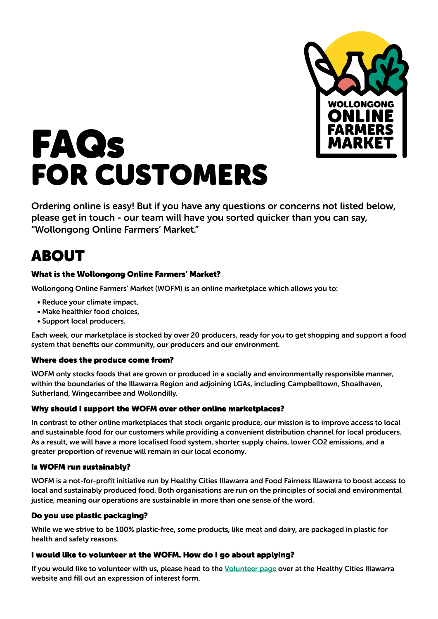

# FAQs FOR CUSTOMERS

Ordering online is easy! But if you have any questions or concerns not listed below, please get in touch - our team will have you sorted quicker than you can say, "Wollongong Online Farmers' Market."

# ABOUT

#### What is the Wollongong Online Farmers' Market?

Wollongong Online Farmers' Market (WOFM) is an online marketplace which allows you to:

- Reduce your climate impact,
- Make healthier food choices,
- Support local producers.

Each week, our marketplace is stocked by over 20 producers, ready for you to get shopping and support a food system that benefits our community, our producers and our environment.

#### Where does the produce come from?

WOFM only stocks foods that are grown or produced in a socially and environmentally responsible manner, within the boundaries of the Illawarra Region and adjoining LGAs, including Campbelltown, Shoalhaven, Sutherland, Wingecarribee and Wollondilly.

#### Why should I support the WOFM over other online marketplaces?

In contrast to other online marketplaces that stock organic produce, our mission is to improve access to local and sustainable food for our customers while providing a convenient distribution channel for local producers. As a result, we will have a more localised food system, shorter supply chains, lower CO2 emissions, and a greater proportion of revenue will remain in our local economy.

#### Is WOFM run sustainably?

WOFM is a not-for-profit initiative run by Healthy Cities Illawarra and Food Fairness Illawarra to boost access to local and sustainably produced food. Both organisations are run on the principles of social and environmental justice, meaning our operations are sustainable in more than one sense of the word.

#### Do you use plastic packaging?

While we we strive to be 100% plastic-free, some products, like meat and dairy, are packaged in plastic for health and safety reasons.

#### I would like to volunteer at the WOFM. How do I go about applying?

If you would like to volunteer with us, please head to the [Volunteer page](https://healthycities.org.au/support-us/volunteer/) over at the Healthy Cities Illawarra website and fill out an expression of interest form.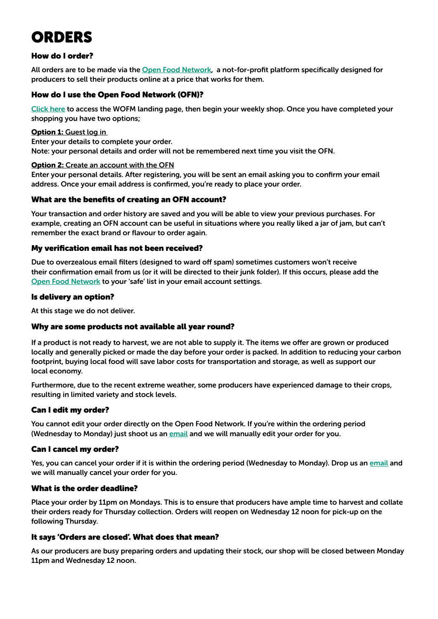# ORDERS

#### How do I order?

All orders are to be made via the [Open Food Network](https://openfoodnetwork.org.au/), a not-for-profit platform specifically designed for producers to sell their products online at a price that works for them.

#### How do I use the Open Food Network (OFN)?

[Click here](https://openfoodnetwork.org.au/wollongong-online-farmers-market/shop) to access the WOFM landing page, then begin your weekly shop. Once you have completed your shopping you have two options;

#### Option 1: Guest log in

Enter your details to complete your order. Note: your personal details and order will not be remembered next time you visit the OFN.

#### **Option 2: Create an account with the OFN**

Enter your personal details. After registering, you will be sent an email asking you to confirm your email address. Once your email address is confirmed, you're ready to place your order.

#### What are the benefits of creating an OFN account?

Your transaction and order history are saved and you will be able to view your previous purchases. For example, creating an OFN account can be useful in situations where you really liked a jar of jam, but can't remember the exact brand or flavour to order again.

#### My verification email has not been received?

Due to overzealous email filters (designed to ward off spam) sometimes customers won't receive their confirmation email from us (or it will be directed to their junk folder). If this occurs, please add the [Open Food Network](https://openfoodnetwork.org.au/) to your 'safe' list in your email account settings.

#### Is delivery an option?

At this stage we do not deliver.

#### Why are some products not available all year round?

If a product is not ready to harvest, we are not able to supply it. The items we offer are grown or produced locally and generally picked or made the day before your order is packed. In addition to reducing your carbon footprint, buying local food will save labor costs for transportation and storage, as well as support our local economy.

Furthermore, due to the recent extreme weather, some producers have experienced damage to their crops, resulting in limited variety and stock levels.

#### Can I edit my order?

You cannot edit your order directly on the Open Food Network. If you're within the ordering period (Wednesday to Monday) just shoot us an [email](mailto:wofm@healthycities.org.au) and we will manually edit your order for you.

#### Can I cancel my order?

Yes, you can cancel your order if it is within the ordering period (Wednesday to Monday). Drop us an [email](mailto:wofm@healthycities.org.au) and we will manually cancel your order for you.

#### What is the order deadline?

Place your order by 11pm on Mondays. This is to ensure that producers have ample time to harvest and collate their orders ready for Thursday collection. Orders will reopen on Wednesday 12 noon for pick-up on the following Thursday.

#### It says 'Orders are closed'. What does that mean?

As our producers are busy preparing orders and updating their stock, our shop will be closed between Monday 11pm and Wednesday 12 noon.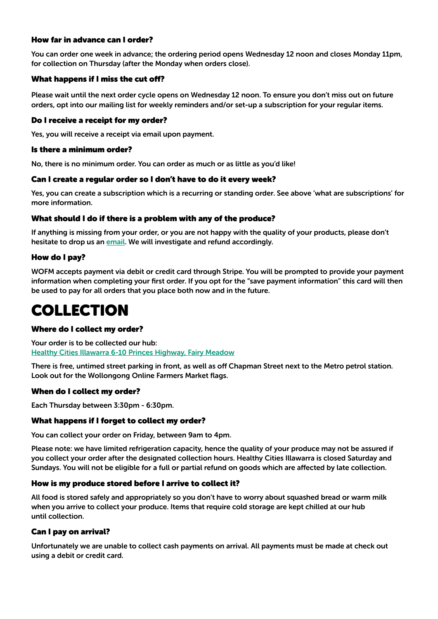#### How far in advance can I order?

You can order one week in advance; the ordering period opens Wednesday 12 noon and closes Monday 11pm, for collection on Thursday (after the Monday when orders close).

#### What happens if I miss the cut off?

Please wait until the next order cycle opens on Wednesday 12 noon. To ensure you don't miss out on future orders, opt into our mailing list for weekly reminders and/or set-up a subscription for your regular items.

#### Do I receive a receipt for my order?

Yes, you will receive a receipt via email upon payment.

#### Is there a minimum order?

No, there is no minimum order. You can order as much or as little as you'd like!

#### Can I create a regular order so I don't have to do it every week?

Yes, you can create a subscription which is a recurring or standing order. See above 'what are subscriptions' for more information.

#### What should I do if there is a problem with any of the produce?

If anything is missing from your order, or you are not happy with the quality of your products, please don't hesitate to drop us an [email.](mailto:wofm@healthycities.org.au) We will investigate and refund accordingly.

#### How do I pay?

WOFM accepts payment via debit or credit card through Stripe. You will be prompted to provide your payment information when completing your first order. If you opt for the "save payment information" this card will then be used to pay for all orders that you place both now and in the future.

## COLLECTION

#### Where do I collect my order?

Your order is to be collected our hub: [Healthy Cities Illawarra 6-10 Princes Highway, Fairy Meadow](https://goo.gl/maps/bLkjb46Lx8wBYA9U6)

There is free, untimed street parking in front, as well as off Chapman Street next to the Metro petrol station. Look out for the Wollongong Online Farmers Market flags.

#### When do I collect my order?

Each Thursday between 3:30pm - 6:30pm.

#### What happens if I forget to collect my order?

You can collect your order on Friday, between 9am to 4pm.

Please note: we have limited refrigeration capacity, hence the quality of your produce may not be assured if you collect your order after the designated collection hours. Healthy Cities Illawarra is closed Saturday and Sundays. You will not be eligible for a full or partial refund on goods which are affected by late collection.

#### How is my produce stored before I arrive to collect it?

All food is stored safely and appropriately so you don't have to worry about squashed bread or warm milk when you arrive to collect your produce. Items that require cold storage are kept chilled at our hub until collection.

#### Can I pay on arrival?

Unfortunately we are unable to collect cash payments on arrival. All payments must be made at check out using a debit or credit card.